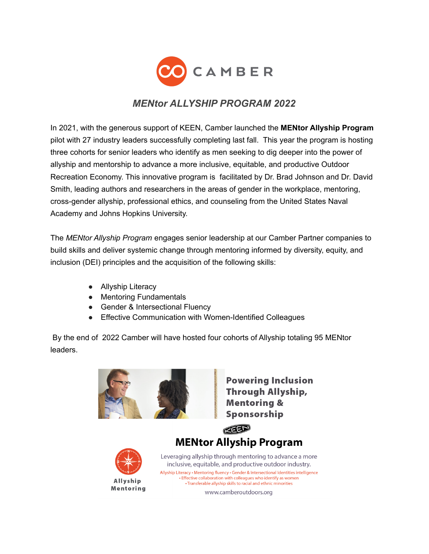

# *MENtor ALLYSHIP PROGRAM 2022*

In 2021, with the generous support of KEEN, Camber launched the **MENtor Allyship Program** pilot with 27 industry leaders successfully completing last fall. This year the program is hosting three cohorts for senior leaders who identify as men seeking to dig deeper into the power of allyship and mentorship to advance a more inclusive, equitable, and productive Outdoor Recreation Economy. This innovative program is facilitated by Dr. Brad Johnson and Dr. David Smith, leading authors and researchers in the areas of gender in the workplace, mentoring, cross-gender allyship, professional ethics, and counseling from the United States Naval Academy and Johns Hopkins University.

The *MENtor Allyship Program* engages senior leadership at our Camber Partner companies to build skills and deliver systemic change through mentoring informed by diversity, equity, and inclusion (DEI) principles and the acquisition of the following skills:

- Allyship Literacy
- Mentoring Fundamentals
- Gender & Intersectional Fluency
- Effective Communication with Women-Identified Colleagues

By the end of 2022 Camber will have hosted four cohorts of Allyship totaling 95 MENtor leaders.



www.camberoutdoors.org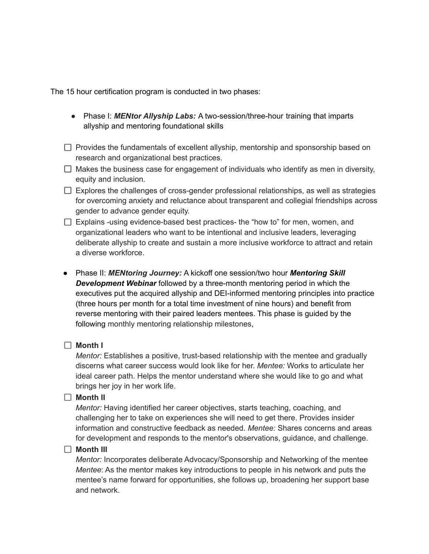The 15 hour certification program is conducted in two phases:

- Phase I: *MENtor Allyship Labs:* A two-session/three-hour training that imparts allyship and mentoring foundational skills
- $\Box$  Provides the fundamentals of excellent allyship, mentorship and sponsorship based on research and organizational best practices.
- $\Box$  Makes the business case for engagement of individuals who identify as men in diversity, equity and inclusion.
- $\Box$  Explores the challenges of cross-gender professional relationships, as well as strategies for overcoming anxiety and reluctance about transparent and collegial friendships across gender to advance gender equity.
- $\Box$  Explains -using evidence-based best practices- the "how to" for men, women, and organizational leaders who want to be intentional and inclusive leaders, leveraging deliberate allyship to create and sustain a more inclusive workforce to attract and retain a diverse workforce.
- Phase II: *MENtoring Journey:* A kickoff one session/two hour *Mentoring Skill Development Webinar* followed by a three-month mentoring period in which the executives put the acquired allyship and DEI-informed mentoring principles into practice (three hours per month for a total time investment of nine hours) and benefit from reverse mentoring with their paired leaders mentees. This phase is guided by the following monthly mentoring relationship milestones,

### **Month I**

*Mentor:* Establishes a positive, trust-based relationship with the mentee and gradually discerns what career success would look like for her. *Mentee:* Works to articulate her ideal career path. Helps the mentor understand where she would like to go and what brings her joy in her work life.

#### **Month II**

*Mentor:* Having identified her career objectives, starts teaching, coaching, and challenging her to take on experiences she will need to get there. Provides insider information and constructive feedback as needed. *Mentee:* Shares concerns and areas for development and responds to the mentor's observations, guidance, and challenge.

#### **Month III**

*Mentor:* Incorporates deliberate Advocacy/Sponsorship and Networking of the mentee *Mentee*: As the mentor makes key introductions to people in his network and puts the mentee's name forward for opportunities, she follows up, broadening her support base and network.